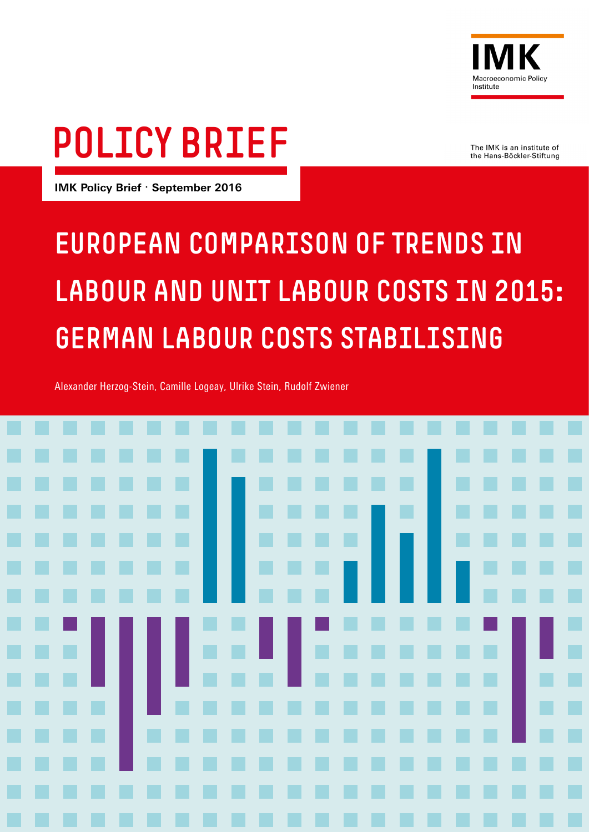

# POLICY BRIEF

The IMK is an institute of the Hans-Böckler-Stiftung

**IMK Policy Brief** · **September 2016**

## EUROPEAN COMPARISON OF TRENDS IN LABOUR AND UNIT LABOUR COSTS IN 2015: GERMAN LABOUR COSTS STABILISING

Alexander Herzog-Stein, Camille Logeay, Ulrike Stein, Rudolf Zwiener

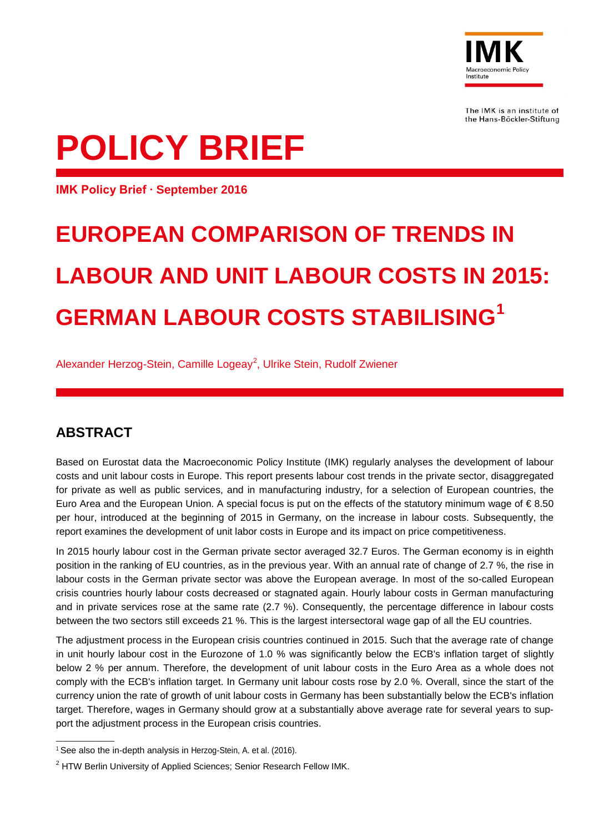

The IMK is an institute of the Hans-Böckler-Stiftung

# **POLICY BRIEF**

**IMK Policy Brief ∙ September 2016**

### **EUROPEAN COMPARISON OF TRENDS IN LABOUR AND UNIT LABOUR COSTS IN 2015: GERMAN LABOUR COSTS STABILISING[1](#page-1-0)**

Alexander Herzog-Stein, Camille Logeay<sup>[2](#page-1-1)</sup>, Ulrike Stein, Rudolf Zwiener

#### **ABSTRACT**

Based on Eurostat data the Macroeconomic Policy Institute (IMK) regularly analyses the development of labour costs and unit labour costs in Europe. This report presents labour cost trends in the private sector, disaggregated for private as well as public services, and in manufacturing industry, for a selection of European countries, the Euro Area and the European Union. A special focus is put on the effects of the statutory minimum wage of € 8.50 per hour, introduced at the beginning of 2015 in Germany, on the increase in labour costs. Subsequently, the report examines the development of unit labor costs in Europe and its impact on price competitiveness.

In 2015 hourly labour cost in the German private sector averaged 32.7 Euros. The German economy is in eighth position in the ranking of EU countries, as in the previous year. With an annual rate of change of 2.7 %, the rise in labour costs in the German private sector was above the European average. In most of the so-called European crisis countries hourly labour costs decreased or stagnated again. Hourly labour costs in German manufacturing and in private services rose at the same rate (2.7 %). Consequently, the percentage difference in labour costs between the two sectors still exceeds 21 %. This is the largest intersectoral wage gap of all the EU countries.

The adjustment process in the European crisis countries continued in 2015. Such that the average rate of change in unit hourly labour cost in the Eurozone of 1.0 % was significantly below the ECB's inflation target of slightly below 2 % per annum. Therefore, the development of unit labour costs in the Euro Area as a whole does not comply with the ECB's inflation target. In Germany unit labour costs rose by 2.0 %. Overall, since the start of the currency union the rate of growth of unit labour costs in Germany has been substantially below the ECB's inflation target. Therefore, wages in Germany should grow at a substantially above average rate for several years to support the adjustment process in the European crisis countries.

<span id="page-1-0"></span><sup>&</sup>lt;sup>1</sup> See also the in-depth analysis in Herzog-Stein, A. et al. (2016). —————————

<span id="page-1-1"></span><sup>&</sup>lt;sup>2</sup> HTW Berlin University of Applied Sciences; Senior Research Fellow IMK.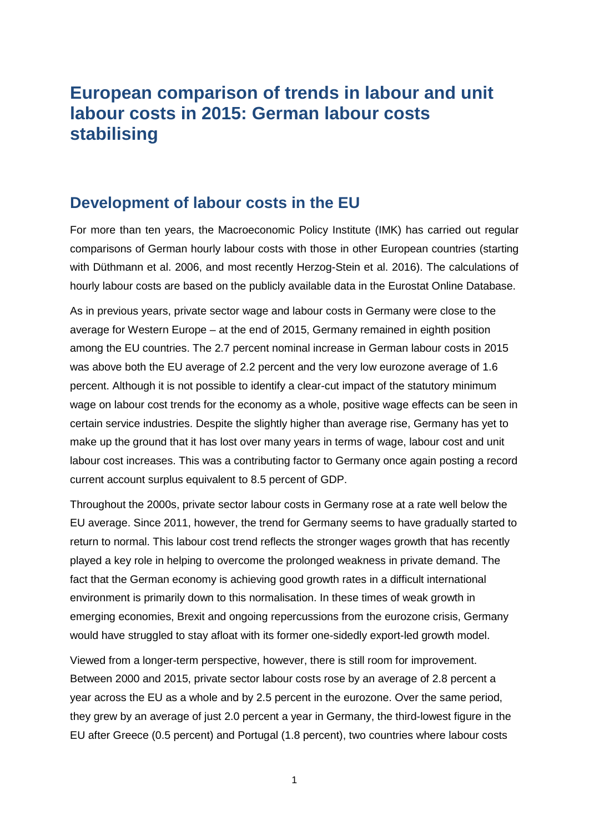### **European comparison of trends in labour and unit labour costs in 2015: German labour costs stabilising**

#### **Development of labour costs in the EU**

For more than ten years, the Macroeconomic Policy Institute (IMK) has carried out regular comparisons of German hourly labour costs with those in other European countries (starting with Düthmann et al. 2006, and most recently Herzog-Stein et al. 2016). The calculations of hourly labour costs are based on the publicly available data in the Eurostat Online Database.

As in previous years, private sector wage and labour costs in Germany were close to the average for Western Europe – at the end of 2015, Germany remained in eighth position among the EU countries. The 2.7 percent nominal increase in German labour costs in 2015 was above both the EU average of 2.2 percent and the very low eurozone average of 1.6 percent. Although it is not possible to identify a clear-cut impact of the statutory minimum wage on labour cost trends for the economy as a whole, positive wage effects can be seen in certain service industries. Despite the slightly higher than average rise, Germany has yet to make up the ground that it has lost over many years in terms of wage, labour cost and unit labour cost increases. This was a contributing factor to Germany once again posting a record current account surplus equivalent to 8.5 percent of GDP.

Throughout the 2000s, private sector labour costs in Germany rose at a rate well below the EU average. Since 2011, however, the trend for Germany seems to have gradually started to return to normal. This labour cost trend reflects the stronger wages growth that has recently played a key role in helping to overcome the prolonged weakness in private demand. The fact that the German economy is achieving good growth rates in a difficult international environment is primarily down to this normalisation. In these times of weak growth in emerging economies, Brexit and ongoing repercussions from the eurozone crisis, Germany would have struggled to stay afloat with its former one-sidedly export-led growth model.

Viewed from a longer-term perspective, however, there is still room for improvement. Between 2000 and 2015, private sector labour costs rose by an average of 2.8 percent a year across the EU as a whole and by 2.5 percent in the eurozone. Over the same period, they grew by an average of just 2.0 percent a year in Germany, the third-lowest figure in the EU after Greece (0.5 percent) and Portugal (1.8 percent), two countries where labour costs

1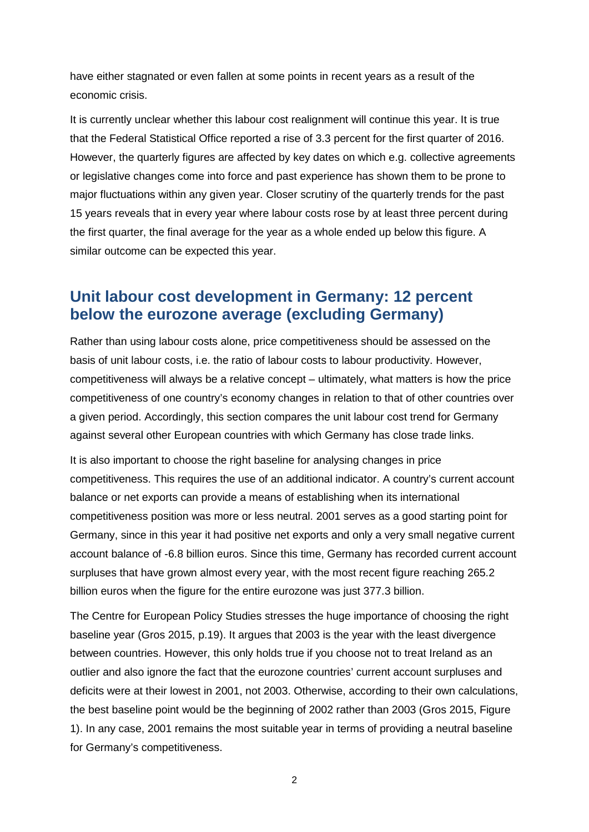have either stagnated or even fallen at some points in recent years as a result of the economic crisis.

It is currently unclear whether this labour cost realignment will continue this year. It is true that the Federal Statistical Office reported a rise of 3.3 percent for the first quarter of 2016. However, the quarterly figures are affected by key dates on which e.g. collective agreements or legislative changes come into force and past experience has shown them to be prone to major fluctuations within any given year. Closer scrutiny of the quarterly trends for the past 15 years reveals that in every year where labour costs rose by at least three percent during the first quarter, the final average for the year as a whole ended up below this figure. A similar outcome can be expected this year.

#### **Unit labour cost development in Germany: 12 percent below the eurozone average (excluding Germany)**

Rather than using labour costs alone, price competitiveness should be assessed on the basis of unit labour costs, i.e. the ratio of labour costs to labour productivity. However, competitiveness will always be a relative concept – ultimately, what matters is how the price competitiveness of one country's economy changes in relation to that of other countries over a given period. Accordingly, this section compares the unit labour cost trend for Germany against several other European countries with which Germany has close trade links.

It is also important to choose the right baseline for analysing changes in price competitiveness. This requires the use of an additional indicator. A country's current account balance or net exports can provide a means of establishing when its international competitiveness position was more or less neutral. 2001 serves as a good starting point for Germany, since in this year it had positive net exports and only a very small negative current account balance of -6.8 billion euros. Since this time, Germany has recorded current account surpluses that have grown almost every year, with the most recent figure reaching 265.2 billion euros when the figure for the entire eurozone was just 377.3 billion.

The Centre for European Policy Studies stresses the huge importance of choosing the right baseline year (Gros 2015, p.19). It argues that 2003 is the year with the least divergence between countries. However, this only holds true if you choose not to treat Ireland as an outlier and also ignore the fact that the eurozone countries' current account surpluses and deficits were at their lowest in 2001, not 2003. Otherwise, according to their own calculations, the best baseline point would be the beginning of 2002 rather than 2003 (Gros 2015, Figure 1). In any case, 2001 remains the most suitable year in terms of providing a neutral baseline for Germany's competitiveness.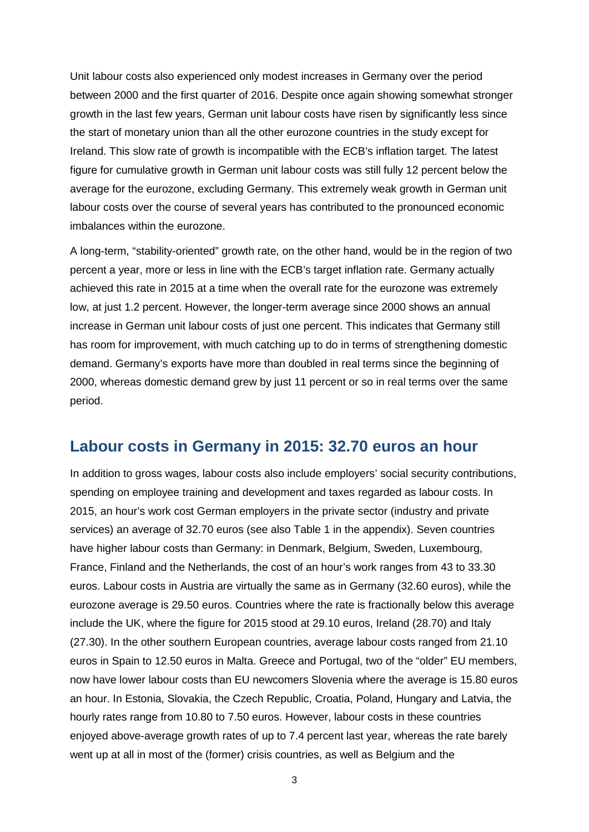Unit labour costs also experienced only modest increases in Germany over the period between 2000 and the first quarter of 2016. Despite once again showing somewhat stronger growth in the last few years, German unit labour costs have risen by significantly less since the start of monetary union than all the other eurozone countries in the study except for Ireland. This slow rate of growth is incompatible with the ECB's inflation target. The latest figure for cumulative growth in German unit labour costs was still fully 12 percent below the average for the eurozone, excluding Germany. This extremely weak growth in German unit labour costs over the course of several years has contributed to the pronounced economic imbalances within the eurozone.

A long-term, "stability-oriented" growth rate, on the other hand, would be in the region of two percent a year, more or less in line with the ECB's target inflation rate. Germany actually achieved this rate in 2015 at a time when the overall rate for the eurozone was extremely low, at just 1.2 percent. However, the longer-term average since 2000 shows an annual increase in German unit labour costs of just one percent. This indicates that Germany still has room for improvement, with much catching up to do in terms of strengthening domestic demand. Germany's exports have more than doubled in real terms since the beginning of 2000, whereas domestic demand grew by just 11 percent or so in real terms over the same period.

#### **Labour costs in Germany in 2015: 32.70 euros an hour**

In addition to gross wages, labour costs also include employers' social security contributions, spending on employee training and development and taxes regarded as labour costs. In 2015, an hour's work cost German employers in the private sector (industry and private services) an average of 32.70 euros (see also Table 1 in the appendix). Seven countries have higher labour costs than Germany: in Denmark, Belgium, Sweden, Luxembourg, France, Finland and the Netherlands, the cost of an hour's work ranges from 43 to 33.30 euros. Labour costs in Austria are virtually the same as in Germany (32.60 euros), while the eurozone average is 29.50 euros. Countries where the rate is fractionally below this average include the UK, where the figure for 2015 stood at 29.10 euros, Ireland (28.70) and Italy (27.30). In the other southern European countries, average labour costs ranged from 21.10 euros in Spain to 12.50 euros in Malta. Greece and Portugal, two of the "older" EU members, now have lower labour costs than EU newcomers Slovenia where the average is 15.80 euros an hour. In Estonia, Slovakia, the Czech Republic, Croatia, Poland, Hungary and Latvia, the hourly rates range from 10.80 to 7.50 euros. However, labour costs in these countries enjoyed above-average growth rates of up to 7.4 percent last year, whereas the rate barely went up at all in most of the (former) crisis countries, as well as Belgium and the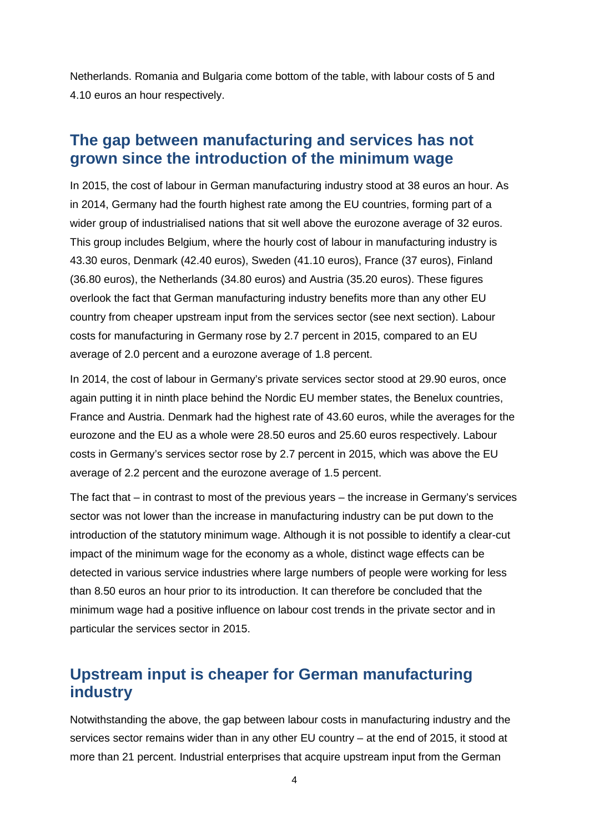Netherlands. Romania and Bulgaria come bottom of the table, with labour costs of 5 and 4.10 euros an hour respectively.

#### **The gap between manufacturing and services has not grown since the introduction of the minimum wage**

In 2015, the cost of labour in German manufacturing industry stood at 38 euros an hour. As in 2014, Germany had the fourth highest rate among the EU countries, forming part of a wider group of industrialised nations that sit well above the eurozone average of 32 euros. This group includes Belgium, where the hourly cost of labour in manufacturing industry is 43.30 euros, Denmark (42.40 euros), Sweden (41.10 euros), France (37 euros), Finland (36.80 euros), the Netherlands (34.80 euros) and Austria (35.20 euros). These figures overlook the fact that German manufacturing industry benefits more than any other EU country from cheaper upstream input from the services sector (see next section). Labour costs for manufacturing in Germany rose by 2.7 percent in 2015, compared to an EU average of 2.0 percent and a eurozone average of 1.8 percent.

In 2014, the cost of labour in Germany's private services sector stood at 29.90 euros, once again putting it in ninth place behind the Nordic EU member states, the Benelux countries, France and Austria. Denmark had the highest rate of 43.60 euros, while the averages for the eurozone and the EU as a whole were 28.50 euros and 25.60 euros respectively. Labour costs in Germany's services sector rose by 2.7 percent in 2015, which was above the EU average of 2.2 percent and the eurozone average of 1.5 percent.

The fact that – in contrast to most of the previous years – the increase in Germany's services sector was not lower than the increase in manufacturing industry can be put down to the introduction of the statutory minimum wage. Although it is not possible to identify a clear-cut impact of the minimum wage for the economy as a whole, distinct wage effects can be detected in various service industries where large numbers of people were working for less than 8.50 euros an hour prior to its introduction. It can therefore be concluded that the minimum wage had a positive influence on labour cost trends in the private sector and in particular the services sector in 2015.

#### **Upstream input is cheaper for German manufacturing industry**

Notwithstanding the above, the gap between labour costs in manufacturing industry and the services sector remains wider than in any other EU country – at the end of 2015, it stood at more than 21 percent. Industrial enterprises that acquire upstream input from the German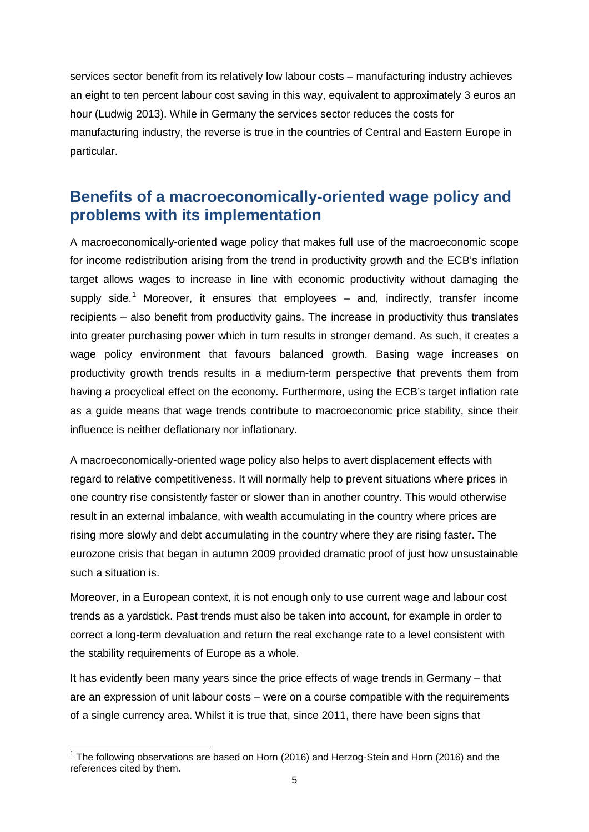services sector benefit from its relatively low labour costs – manufacturing industry achieves an eight to ten percent labour cost saving in this way, equivalent to approximately 3 euros an hour (Ludwig 2013). While in Germany the services sector reduces the costs for manufacturing industry, the reverse is true in the countries of Central and Eastern Europe in particular.

#### **Benefits of a macroeconomically-oriented wage policy and problems with its implementation**

A macroeconomically-oriented wage policy that makes full use of the macroeconomic scope for income redistribution arising from the trend in productivity growth and the ECB's inflation target allows wages to increase in line with economic productivity without damaging the supply side.<sup>[1](#page-6-0)</sup> Moreover, it ensures that employees – and, indirectly, transfer income recipients – also benefit from productivity gains. The increase in productivity thus translates into greater purchasing power which in turn results in stronger demand. As such, it creates a wage policy environment that favours balanced growth. Basing wage increases on productivity growth trends results in a medium-term perspective that prevents them from having a procyclical effect on the economy. Furthermore, using the ECB's target inflation rate as a guide means that wage trends contribute to macroeconomic price stability, since their influence is neither deflationary nor inflationary.

A macroeconomically-oriented wage policy also helps to avert displacement effects with regard to relative competitiveness. It will normally help to prevent situations where prices in one country rise consistently faster or slower than in another country. This would otherwise result in an external imbalance, with wealth accumulating in the country where prices are rising more slowly and debt accumulating in the country where they are rising faster. The eurozone crisis that began in autumn 2009 provided dramatic proof of just how unsustainable such a situation is.

Moreover, in a European context, it is not enough only to use current wage and labour cost trends as a yardstick. Past trends must also be taken into account, for example in order to correct a long-term devaluation and return the real exchange rate to a level consistent with the stability requirements of Europe as a whole.

It has evidently been many years since the price effects of wage trends in Germany – that are an expression of unit labour costs – were on a course compatible with the requirements of a single currency area. Whilst it is true that, since 2011, there have been signs that

<span id="page-6-0"></span> $1$  The following observations are based on Horn (2016) and Herzog-Stein and Horn (2016) and the references cited by them.  $\overline{a}$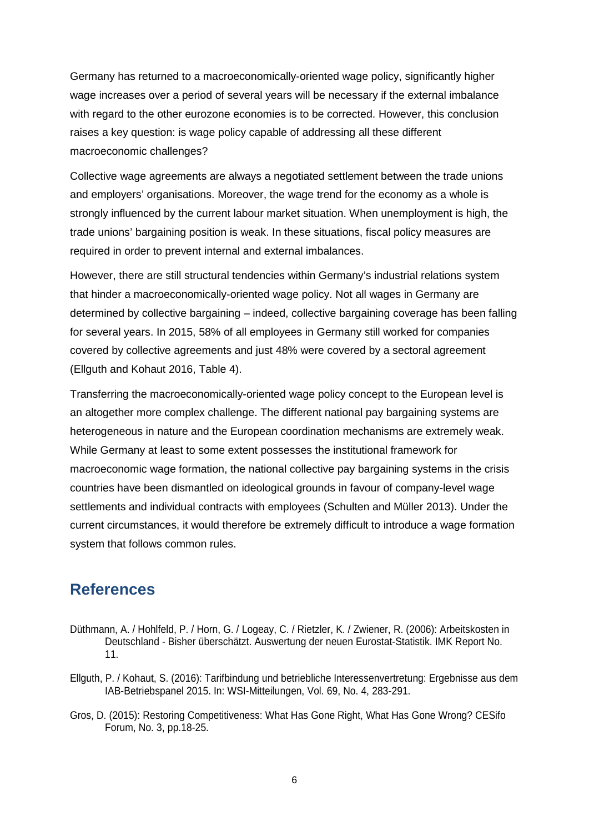Germany has returned to a macroeconomically-oriented wage policy, significantly higher wage increases over a period of several years will be necessary if the external imbalance with regard to the other eurozone economies is to be corrected. However, this conclusion raises a key question: is wage policy capable of addressing all these different macroeconomic challenges?

Collective wage agreements are always a negotiated settlement between the trade unions and employers' organisations. Moreover, the wage trend for the economy as a whole is strongly influenced by the current labour market situation. When unemployment is high, the trade unions' bargaining position is weak. In these situations, fiscal policy measures are required in order to prevent internal and external imbalances.

However, there are still structural tendencies within Germany's industrial relations system that hinder a macroeconomically-oriented wage policy. Not all wages in Germany are determined by collective bargaining – indeed, collective bargaining coverage has been falling for several years. In 2015, 58% of all employees in Germany still worked for companies covered by collective agreements and just 48% were covered by a sectoral agreement (Ellguth and Kohaut 2016, Table 4).

Transferring the macroeconomically-oriented wage policy concept to the European level is an altogether more complex challenge. The different national pay bargaining systems are heterogeneous in nature and the European coordination mechanisms are extremely weak. While Germany at least to some extent possesses the institutional framework for macroeconomic wage formation, the national collective pay bargaining systems in the crisis countries have been dismantled on ideological grounds in favour of company-level wage settlements and individual contracts with employees (Schulten and Müller 2013). Under the current circumstances, it would therefore be extremely difficult to introduce a wage formation system that follows common rules.

#### **References**

- Düthmann, A. / Hohlfeld, P. / Horn, G. / Logeay, C. / Rietzler, K. / Zwiener, R. (2006): Arbeitskosten in Deutschland - Bisher überschätzt. Auswertung der neuen Eurostat-Statistik. IMK Report No. 11.
- Ellguth, P. / Kohaut, S. (2016): Tarifbindung und betriebliche Interessenvertretung: Ergebnisse aus dem IAB-Betriebspanel 2015. In: WSI-Mitteilungen, Vol. 69, No. 4, 283-291.
- Gros, D. (2015): Restoring Competitiveness: What Has Gone Right, What Has Gone Wrong? CESifo Forum, No. 3, pp.18-25.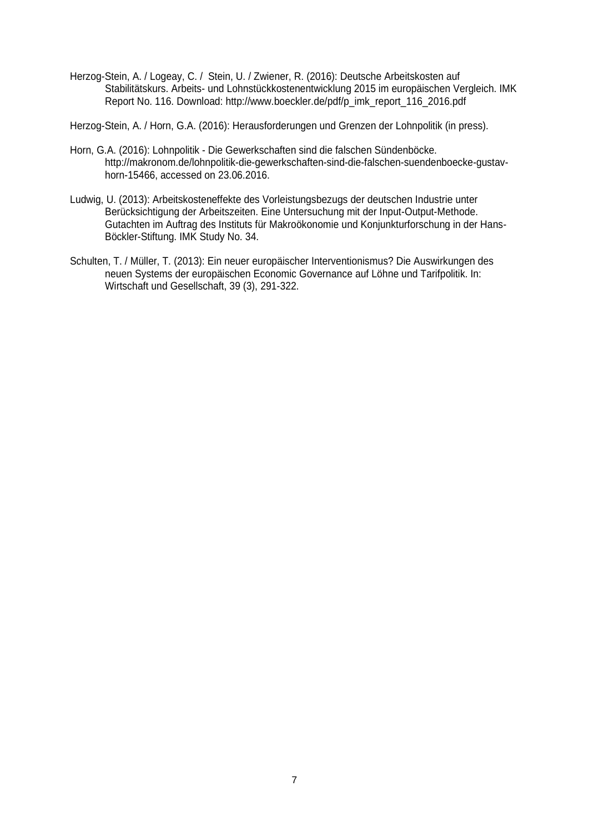Herzog-Stein, A. / Logeay, C. / Stein, U. / Zwiener, R. (2016): Deutsche Arbeitskosten auf Stabilitätskurs. Arbeits- und Lohnstückkostenentwicklung 2015 im europäischen Vergleich. IMK Report No. 116. Download: [http://www.boeckler.de/pdf/p\\_imk\\_report\\_116\\_2016.pdf](http://www.boeckler.de/pdf/p_imk_report_116_2016.pdf)

Herzog-Stein, A. / Horn, G.A. (2016): Herausforderungen und Grenzen der Lohnpolitik (in press).

- Horn, G.A. (2016): Lohnpolitik Die Gewerkschaften sind die falschen Sündenböcke. http://makronom.de/lohnpolitik-die-gewerkschaften-sind-die-falschen-suendenboecke-gustavhorn-15466, accessed on 23.06.2016.
- Ludwig, U. (2013): Arbeitskosteneffekte des Vorleistungsbezugs der deutschen Industrie unter Berücksichtigung der Arbeitszeiten. Eine Untersuchung mit der Input-Output-Methode. Gutachten im Auftrag des Instituts für Makroökonomie und Konjunkturforschung in der Hans-Böckler-Stiftung. IMK Study No. 34.
- Schulten, T. / Müller, T. (2013): Ein neuer europäischer Interventionismus? Die Auswirkungen des neuen Systems der europäischen Economic Governance auf Löhne und Tarifpolitik. In: Wirtschaft und Gesellschaft, 39 (3), 291-322.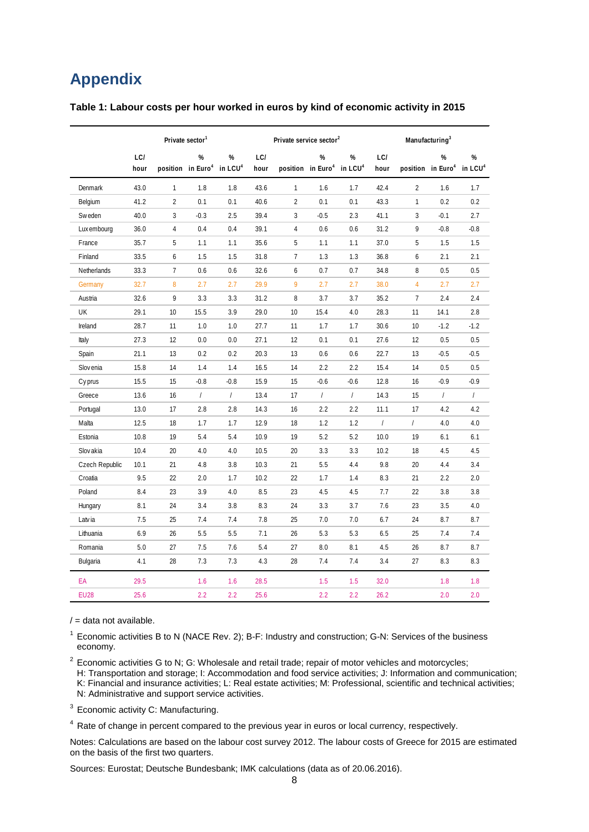### **Appendix**

| Table 1: Labour costs per hour worked in euros by kind of economic activity in 2015 |  |  |
|-------------------------------------------------------------------------------------|--|--|
|-------------------------------------------------------------------------------------|--|--|

|                | Private sector <sup>1</sup> |                |                                                        |            | Private service sector <sup>2</sup> |                |                                    |                | Manufacturing <sup>3</sup> |                |                                    |                          |
|----------------|-----------------------------|----------------|--------------------------------------------------------|------------|-------------------------------------|----------------|------------------------------------|----------------|----------------------------|----------------|------------------------------------|--------------------------|
|                | LC/<br>hour                 |                | %<br>position in Euro <sup>4</sup> in LCU <sup>4</sup> | %          | LC/<br>hour                         |                | %<br>position in Euro <sup>4</sup> | %<br>in $LCU4$ | LC/<br>hour                |                | %<br>position in Euro <sup>4</sup> | %<br>in LCU <sup>4</sup> |
| Denmark        | 43.0                        | $\mathbf{1}$   | 1.8                                                    | 1.8        | 43.6                                | $\mathbf{1}$   | 1.6                                | 1.7            | 42.4                       | $\overline{2}$ | 1.6                                | 1.7                      |
| Belgium        | 41.2                        | $\overline{2}$ | 0.1                                                    | 0.1        | 40.6                                | $\overline{2}$ | 0.1                                | 0.1            | 43.3                       | $\mathbf{1}$   | 0.2                                | 0.2                      |
| <b>Sweden</b>  | 40.0                        | 3              | $-0.3$                                                 | 2.5        | 39.4                                | 3              | $-0.5$                             | 2.3            | 41.1                       | 3              | $-0.1$                             | 2.7                      |
| Lux embourg    | 36.0                        | 4              | 0.4                                                    | 0.4        | 39.1                                | 4              | 0.6                                | 0.6            | 31.2                       | 9              | $-0.8$                             | $-0.8$                   |
| France         | 35.7                        | 5              | 1.1                                                    | 1.1        | 35.6                                | 5              | 1.1                                | 1.1            | 37.0                       | 5              | 1.5                                | 1.5                      |
| Finland        | 33.5                        | 6              | 1.5                                                    | 1.5        | 31.8                                | $\overline{7}$ | 1.3                                | 1.3            | 36.8                       | 6              | 2.1                                | 2.1                      |
| Netherlands    | 33.3                        | $\overline{7}$ | 0.6                                                    | 0.6        | 32.6                                | 6              | 0.7                                | 0.7            | 34.8                       | 8              | 0.5                                | 0.5                      |
| Germany        | 32.7                        | 8              | 2.7                                                    | 2.7        | 29.9                                | 9              | 2.7                                | 2.7            | 38.0                       | $\overline{4}$ | 2.7                                | 2.7                      |
| Austria        | 32.6                        | 9              | 3.3                                                    | 3.3        | 31.2                                | 8              | 3.7                                | 3.7            | 35.2                       | $\overline{7}$ | 2.4                                | 2.4                      |
| UK             | 29.1                        | 10             | 15.5                                                   | 3.9        | 29.0                                | 10             | 15.4                               | 4.0            | 28.3                       | 11             | 14.1                               | 2.8                      |
| Ireland        | 28.7                        | 11             | 1.0                                                    | 1.0        | 27.7                                | 11             | 1.7                                | 1.7            | 30.6                       | 10             | $-1.2$                             | $-1.2$                   |
| Italy          | 27.3                        | 12             | 0.0                                                    | 0.0        | 27.1                                | 12             | 0.1                                | 0.1            | 27.6                       | 12             | 0.5                                | 0.5                      |
| Spain          | 21.1                        | 13             | 0.2                                                    | 0.2        | 20.3                                | 13             | 0.6                                | 0.6            | 22.7                       | 13             | $-0.5$                             | $-0.5$                   |
| Slov enia      | 15.8                        | 14             | 1.4                                                    | 1.4        | 16.5                                | 14             | 2.2                                | 2.2            | 15.4                       | 14             | 0.5                                | 0.5                      |
| Cy prus        | 15.5                        | 15             | $-0.8$                                                 | $-0.8$     | 15.9                                | 15             | $-0.6$                             | $-0.6$         | 12.8                       | 16             | $-0.9$                             | $-0.9$                   |
| Greece         | 13.6                        | 16             | $\overline{1}$                                         | $\sqrt{ }$ | 13.4                                | 17             | $\sqrt{ }$                         | $\sqrt{ }$     | 14.3                       | 15             | $\sqrt{ }$                         | $\sqrt{2}$               |
| Portugal       | 13.0                        | 17             | 2.8                                                    | 2.8        | 14.3                                | 16             | 2.2                                | 2.2            | 11.1                       | 17             | 4.2                                | 4.2                      |
| Malta          | 12.5                        | 18             | 1.7                                                    | 1.7        | 12.9                                | 18             | 1.2                                | 1.2            | $\sqrt{ }$                 | $\sqrt{ }$     | 4.0                                | 4.0                      |
| Estonia        | 10.8                        | 19             | 5.4                                                    | 5.4        | 10.9                                | 19             | 5.2                                | 5.2            | 10.0                       | 19             | 6.1                                | 6.1                      |
| Slov akia      | 10.4                        | 20             | 4.0                                                    | 4.0        | 10.5                                | 20             | 3.3                                | 3.3            | 10.2                       | 18             | 4.5                                | 4.5                      |
| Czech Republic | 10.1                        | 21             | 4.8                                                    | 3.8        | 10.3                                | 21             | 5.5                                | 4.4            | 9.8                        | 20             | 4.4                                | 3.4                      |
| Croatia        | 9.5                         | 22             | 2.0                                                    | 1.7        | 10.2                                | 22             | 1.7                                | 1.4            | 8.3                        | 21             | 2.2                                | 2.0                      |
| Poland         | 8.4                         | 23             | 3.9                                                    | 4.0        | 8.5                                 | 23             | 4.5                                | 4.5            | 7.7                        | 22             | 3.8                                | 3.8                      |
| Hungary        | 8.1                         | 24             | 3.4                                                    | 3.8        | 8.3                                 | 24             | 3.3                                | 3.7            | 7.6                        | 23             | 3.5                                | 4.0                      |
| Latvia         | 7.5                         | 25             | 7.4                                                    | 7.4        | 7.8                                 | 25             | 7.0                                | 7.0            | 6.7                        | 24             | 8.7                                | 8.7                      |
| Lithuania      | 6.9                         | 26             | 5.5                                                    | 5.5        | 7.1                                 | 26             | 5.3                                | 5.3            | 6.5                        | 25             | 7.4                                | 7.4                      |
| Romania        | 5.0                         | 27             | 7.5                                                    | 7.6        | 5.4                                 | 27             | 8.0                                | 8.1            | 4.5                        | 26             | 8.7                                | 8.7                      |
| Bulgaria       | 4.1                         | 28             | 7.3                                                    | 7.3        | 4.3                                 | 28             | 7.4                                | 7.4            | 3.4                        | 27             | 8.3                                | 8.3                      |
| EA             | 29.5                        |                | 1.6                                                    | 1.6        | 28.5                                |                | 1.5                                | 1.5            | 32.0                       |                | 1.8                                | 1.8                      |
| <b>EU28</b>    | 25.6                        |                | 2.2                                                    | 2.2        | 25.6                                |                | 2.2                                | 2.2            | 26.2                       |                | 2.0                                | 2.0                      |

 $/ =$  data not available.

<sup>1</sup> Economic activities B to N (NACE Rev. 2); B-F: Industry and construction; G-N: Services of the business economy.

 $2$  Economic activities G to N; G: Wholesale and retail trade; repair of motor vehicles and motorcycles; H: Transportation and storage; I: Accommodation and food service activities; J: Information and communication; K: Financial and insurance activities; L: Real estate activities; M: Professional, scientific and technical activities; N: Administrative and support service activities.

<sup>3</sup> Economic activity C: Manufacturing.

<sup>4</sup> Rate of change in percent compared to the previous year in euros or local currency, respectively.

Notes: Calculations are based on the labour cost survey 2012. The labour costs of Greece for 2015 are estimated on the basis of the first two quarters.

Sources: Eurostat; Deutsche Bundesbank; IMK calculations (data as of 20.06.2016).